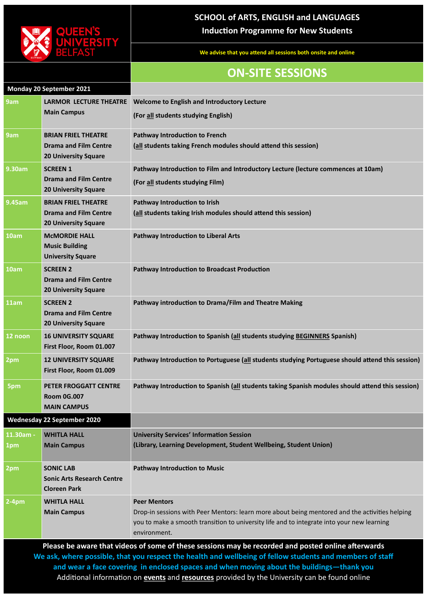

## **SCHOOL of ARTS, ENGLISH and LANGUAGES Induction Programme for New Students**

**We advise that you attend all sessions both onsite and online** 

## **ON-SITE SESSIONS**

|                  | <b>Monday 20 September 2021</b>                                                           |                                                                                                                       |
|------------------|-------------------------------------------------------------------------------------------|-----------------------------------------------------------------------------------------------------------------------|
| 9am              | <b>LARMOR LECTURE THEATRE</b><br><b>Main Campus</b>                                       | <b>Welcome to English and Introductory Lecture</b><br>(For all students studying English)                             |
| 9am              | <b>BRIAN FRIEL THEATRE</b><br><b>Drama and Film Centre</b><br><b>20 University Square</b> | <b>Pathway Introduction to French</b><br>(all students taking French modules should attend this session)              |
| 9.30am           | <b>SCREEN 1</b><br><b>Drama and Film Centre</b><br><b>20 University Square</b>            | Pathway Introduction to Film and Introductory Lecture (lecture commences at 10am)<br>(For all students studying Film) |
| <b>9.45am</b>    | <b>BRIAN FRIEL THEATRE</b><br><b>Drama and Film Centre</b><br><b>20 University Square</b> | Pathway Introduction to Irish<br>(all students taking Irish modules should attend this session)                       |
| 10am             | <b>MCMORDIE HALL</b><br><b>Music Building</b><br><b>University Square</b>                 | <b>Pathway Introduction to Liberal Arts</b>                                                                           |
| 10am             | <b>SCREEN 2</b><br><b>Drama and Film Centre</b><br><b>20 University Square</b>            | <b>Pathway Introduction to Broadcast Production</b>                                                                   |
| 11am             | <b>SCREEN 2</b><br><b>Drama and Film Centre</b><br><b>20 University Square</b>            | Pathway introduction to Drama/Film and Theatre Making                                                                 |
| 12 noon          | <b>16 UNIVERSITY SQUARE</b><br>First Floor, Room 01.007                                   | Pathway Introduction to Spanish (all students studying BEGINNERS Spanish)                                             |
| 2pm              | <b>12 UNIVERSITY SQUARE</b><br>First Floor, Room 01.009                                   | Pathway Introduction to Portuguese (all students studying Portuguese should attend this session)                      |
| 5pm              | PETER FROGGATT CENTRE<br><b>Room 0G.007</b><br><b>MAIN CAMPUS</b>                         | Pathway Introduction to Spanish (all students taking Spanish modules should attend this session)                      |
|                  | <b>Wednesday 22 September 2020</b>                                                        |                                                                                                                       |
| 11.30am -<br>1pm | <b>WHITLA HALL</b><br><b>Main Campus</b>                                                  | <b>University Services' Information Session</b><br>(Library, Learning Development, Student Wellbeing, Student Union)  |

| 2pm     | <b>SONIC LAB</b><br><b>Sonic Arts Research Centre</b> | <b>Pathway Introduction to Music</b>                                                                                                                                                                         |
|---------|-------------------------------------------------------|--------------------------------------------------------------------------------------------------------------------------------------------------------------------------------------------------------------|
|         | <b>Cloreen Park</b>                                   |                                                                                                                                                                                                              |
| $2-4pm$ | <b>WHITLA HALL</b>                                    | <b>Peer Mentors</b>                                                                                                                                                                                          |
|         | <b>Main Campus</b>                                    | Drop-in sessions with Peer Mentors: learn more about being mentored and the activities helping<br>you to make a smooth transition to university life and to integrate into your new learning<br>environment. |

**Please be aware that videos of some of these sessions may be recorded and posted online afterwards We ask, where possible, that you respect the health and wellbeing of fellow students and members of staff and wear a face covering in enclosed spaces and when moving about the buildings—thank you** Additional information on **[events](https://www.qub.ac.uk/events/)** and **[resources](https://www.qub.ac.uk/sites/my-queens/support/)** provided by the University can be found online